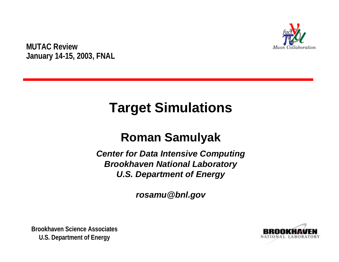

**MUTAC Review January 14-15, 2003, FNAL**

# **Target Simulations**

### **Roman Samulyak**

*Center for Data Intensive Computing Brookhaven National Laboratory U.S. Department of Energy*

*rosamu@bnl.gov*



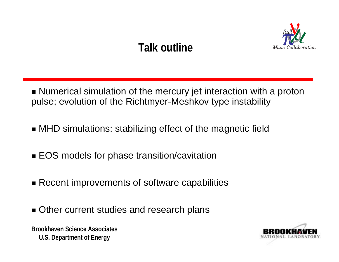## **Talk outline**



- $\blacksquare$  Numerical simulation of the mercury jet interaction with a proton pulse; evolution of the Richtmyer-Meshkov type instability
- $\blacksquare$  MHD simulations: stabilizing effect of the magnetic field
- EOS models for phase transition/cavitation
- $\blacksquare$  Recent improvements of software capabilities
- **. Other current studies and research plans**

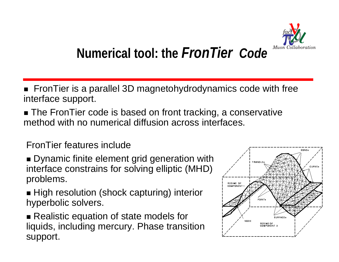

# **Numerical tool: the** *FronTier Code*

- $\blacksquare$  FronTier is a parallel 3D magnetohydrodynamics code with free interface support.
- $\blacksquare$  The FronTier code is based on front tracking, a conservative method with no numerical diffusion across interfaces.

FronTier features include

- **. Dynamic finite element grid generation with** interface constrains for solving elliptic (MHD) problems.
- $\blacksquare$  High resolution (shock capturing) interior hyperbolic solvers.

**Brookhaven Science Associates**liquids, including mercury. Phase transition support.  $\blacksquare$  Realistic equation of state models for

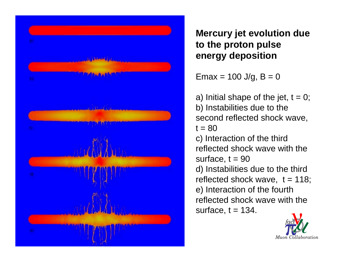

**Mercury jet evolution due to the proton pulse energy deposition**

Emax = 100 J/g, B = 0

a) Initial shape of the jet,  $t = 0$ ; b) Instabilities due to the second reflected shock wave,  $t = 80$ c) Interaction of the third reflected shock wave with the surface,  $t = 90$ d) Instabilities due to the third reflected shock wave, t = 118; e) Interaction of the fourth reflected shock wave with the surface,  $t = 134$ .

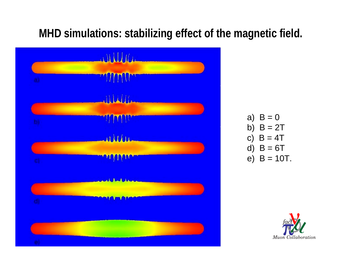#### **MHD simulations: stabilizing effect of the magnetic field.**



a)  $B = 0$ b)  $B = 2T$ c)  $B = 4T$ d)  $B = 6T$ e)  $B = 10T$ .

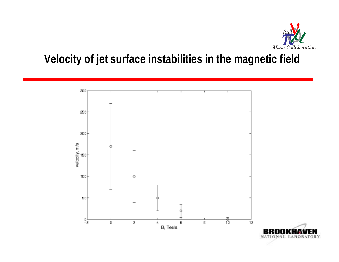

#### **Velocity of jet surface instabilities in the magnetic field**

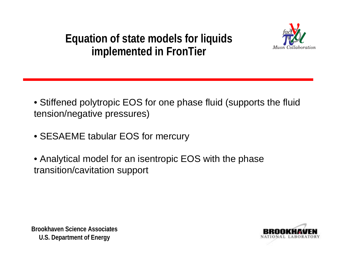### **Equation of state models for liquids implemented in FronTier**



- Stiffened polytropic EOS for one phase fluid (supports the fluid tension/negative pressures)
- SESAEME tabular EOS for mercury
- Analytical model for an isentropic EOS with the phase transition/cavitation support



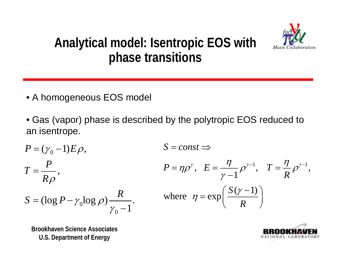

### **Analytical model: Isentropic EOS with phase transitions**

- A homogeneous EOS model
- Gas (vapor) phase is described by the polytropic EOS reduced to an isentrope.

$$
P = (\gamma_0 - 1)E\rho,
$$
  
\n
$$
S = const \Rightarrow
$$
  
\n
$$
T = \frac{P}{R\rho},
$$
  
\n
$$
P = \eta\rho^\gamma, E = \frac{\eta}{\gamma - 1}\rho^{\gamma - 1}, T = \frac{\eta}{R}\rho^{\gamma - 1},
$$
  
\n
$$
S = (\log P - \gamma_0 \log \rho) \frac{R}{\gamma_0 - 1}.
$$
  
\nwhere  $\eta = \exp\left(\frac{S(\gamma - 1)}{R}\right)$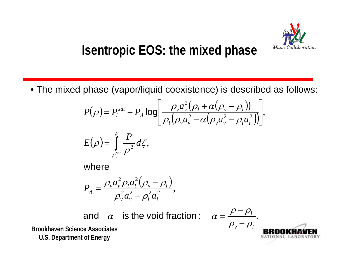

## **Isentropic EOS: the mixed phase**

• The mixed phase (vapor/liquid coexistence) is described as follows:

$$
P(\rho) = P_l^{sat} + P_{vl} \log \left[ \frac{\rho_v a_v^2 (\rho_l + \alpha(\rho_v - \rho_l))}{\rho_l (\rho_v a_v^2 - \alpha(\rho_v a_v^2 - \rho_l a_l^2))} \right],
$$

$$
E\big(\rho\big)\!=\!\int\limits_{\rho_{\textrm{v}}^{\textrm{sat}}}\!\frac{P}{\rho^2}d\xi,
$$

where

$$
P_{vl} = \frac{\rho_v a_v^2 \rho_l a_l^2 (\rho_v - \rho_l)}{\rho_v^2 a_v^2 - \rho_l^2 a_l^2},
$$

and  $\alpha$  is the void fraction :  $\alpha = \frac{\rho - \rho_s}{\rho}$ 

**Brookhaven Science AssociatesU.S. Department of Energy**

$$
\frac{\rho - \rho_l}{\rho_v - \rho_l}.
$$
  
**BROOKHAVEN  
**BROOKHAVEN  
**LABORATORY******

=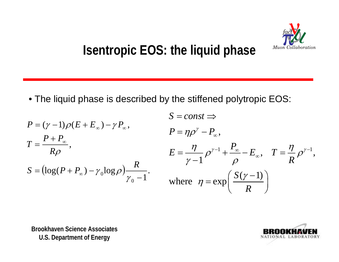

## **Isentropic EOS: the liquid phase**

• The liquid phase is described by the stiffened polytropic EOS:

$$
P = (\gamma - 1)\rho(E + E_{\infty}) - \gamma P_{\infty},
$$
\n
$$
S = const \Rightarrow
$$
\n
$$
P = \eta \rho^{\gamma} - P_{\infty},
$$
\n
$$
E = \frac{\eta}{\gamma - 1} \rho^{\gamma - 1} + \frac{P_{\infty}}{\rho} - E_{\infty},
$$
\n
$$
T = \frac{\eta}{R} \rho^{\gamma - 1},
$$
\n
$$
S = (\log(P + P_{\infty}) - \gamma_0 \log \rho) \frac{R}{\gamma_0 - 1}.
$$
\nwhere  $\eta = \exp\left(\frac{S(\gamma - 1)}{R}\right)$ 

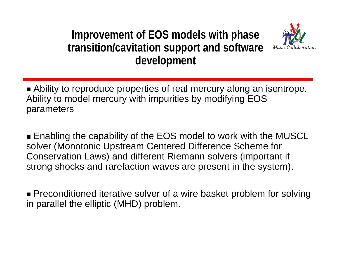### **Improvement of EOS models with phase transition/cavitation support and software development**



 $\blacksquare$  Ability to reproduce properties of real mercury along an isentrope. Ability to model mercury with impurities by modifying EOS parameters

 $\blacksquare$  Enabling the capability of the EOS model to work with the MUSCL solver (Monotonic Upstream Centered Difference Scheme for Conservation Laws) and different Riemann solvers (important if strong shocks and rarefaction waves are present in the system).

**.** Preconditioned iterative solver of a wire basket problem for solving in parallel the elliptic (MHD) problem.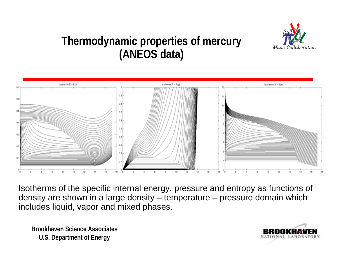

#### **Thermodynamic properties of mercury (ANEOS data)**



Isotherms of the specific internal energy, pressure and entropy as functions of density are shown in a large density – temperature – pressure domain which includes liquid, vapor and mixed phases.

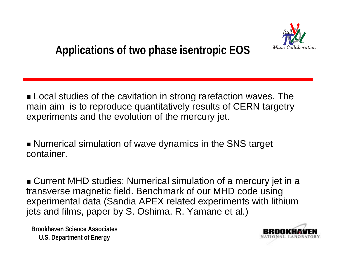

 $\blacksquare$  Local studies of the cavitation in strong rarefaction waves. The main aim is to reproduce quantitatively results of CERN targetry experiments and the evolution of the mercury jet.

**. Numerical simulation of wave dynamics in the SNS target** container.

 $\bullet$  Current MHD studies: Numerical simulation of a mercury jet in a transverse magnetic field. Benchmark of our MHD code using experimental data (Sandia APEX related experiments with lithium jets and films, paper by S. Oshima, R. Yamane et al.)